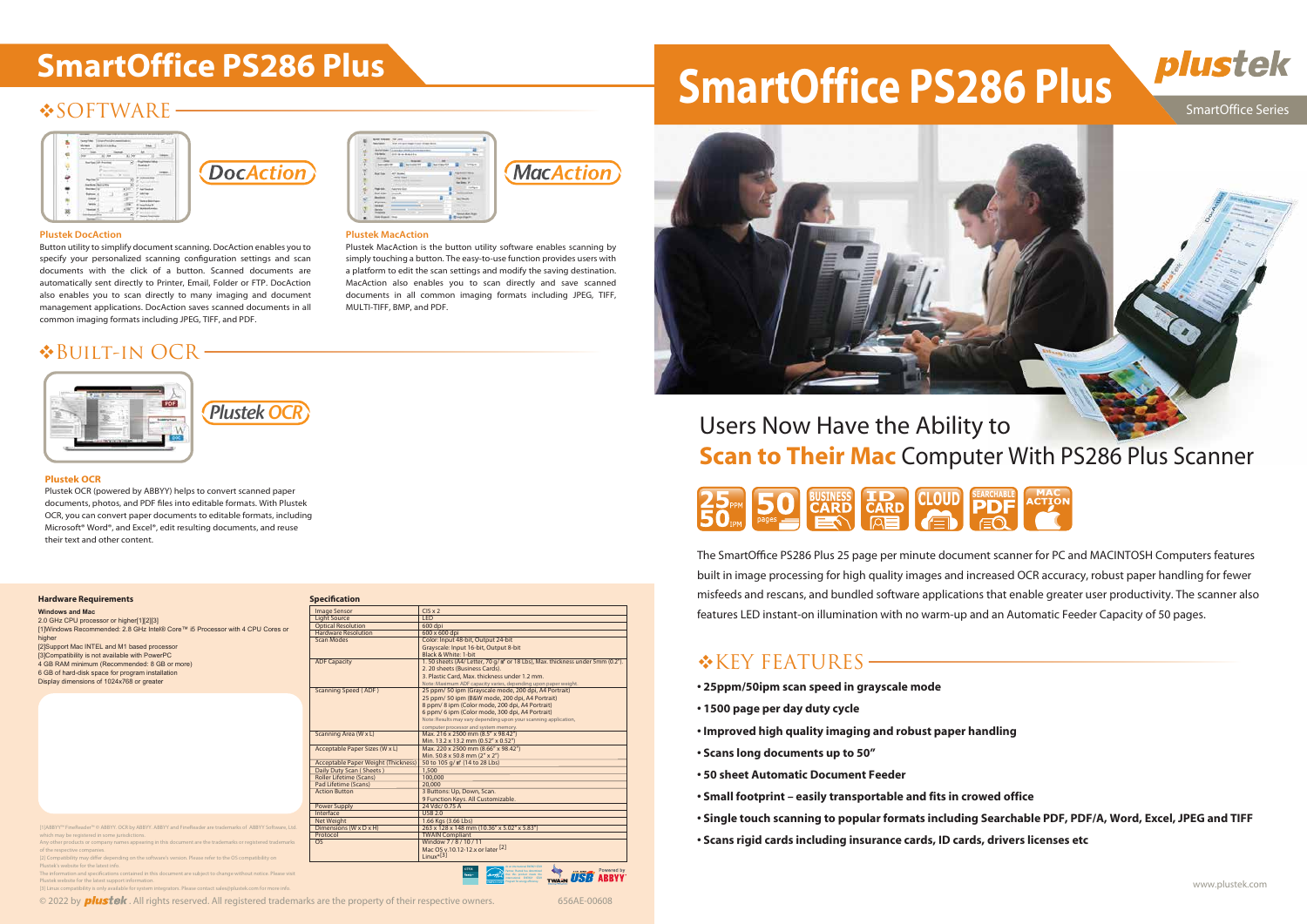# **\*SOFTWARE**



**Plustek DocAction** 

# **SmartOffice PS286 Plus SmartOffice PS286 Plus**



### SmartOffice Series

### **Hardware Requirements**

# Users Now Have the Ability to **Scan to Their Mac** Computer With PS286 Plus Scanner



**Windows and Mac** 2.0 GHz CPU processor or higher[1][2][3] [1]Windows Recommended: 2.8 GHz Intel® Core™ i5 Processor with 4 CPU Cores or higher [2]Support Mac INTEL and M1 based processor [3]Compatibility is not available with PowerPC 4 GB RAM minimum (Recommended: 8 GB or more) 6 GB of hard-disk space for program installation

Display dimensions of 1024x768 or greater

The SmartOffice PS286 Plus 25 page per minute document scanner for PC and MACINTOSH Computers features built in image processing for high quality images and increased OCR accuracy, robust paper handling for fewer misfeeds and rescans, and bundled software applications that enable greater user productivity. The scanner also features LED instant-on illumination with no warm-up and an Automatic Feeder Capacity of 50 pages.

# \*KEY FEATURES—

- **25ppm/50ipm scan speed in grayscale mode**
- **1500 page per day duty cycle**
- **Improved high quality imaging and robust paper handling**
- **Scans long documents up to 50"**
- **50 sheet Automatic Document Feeder**
- **Small footprint easily transportable and fits in crowed office**
- **Single touch scanning to popular formats including Searchable PDF, PDF/A, Word, Excel, JPEG and TIFF**
- **Scans rigid cards including insurance cards, ID cards, drivers licenses etc**



or™ © ABBYY, OCR by ABBYY. ABBYY and FineReader are t which may be registered in some jurisdictions.

Plustek's website for the latest info. The information and specifications contained in this document are subject to change without notice. Please visit

| <b>Image Sensor</b>                        | $CIS \times 2$                                                                            |  |
|--------------------------------------------|-------------------------------------------------------------------------------------------|--|
| <b>Light Source</b>                        | <b>LED</b>                                                                                |  |
| <b>Optical Resolution</b>                  | 600 dpi                                                                                   |  |
| <b>Hardware Resolution</b>                 | 600 x 600 dpi                                                                             |  |
| <b>Scan Modes</b>                          | Color: Input 48-bit, Output 24-bit                                                        |  |
|                                            | Grayscale: Input 16-bit, Output 8-bit                                                     |  |
|                                            | Black & White: 1-bit                                                                      |  |
| <b>ADF Capacity</b>                        | 1.50 sheets (A4/ Letter, 70 g/m <sup>2</sup> or 18 Lbs), Max. thickness under 5mm (0.2"). |  |
|                                            | 2. 20 sheets (Business Cards).                                                            |  |
|                                            | 3. Plastic Card, Max, thickness under 1.2 mm.                                             |  |
|                                            | Note: Maximum ADF capacity varies, depending upon paper weight.                           |  |
| Scanning Speed (ADF)                       | 25 ppm/ 50 ipm (Grayscale mode, 200 dpi, A4 Portrait)                                     |  |
|                                            | 25 ppm/ 50 ipm (B&W mode, 200 dpi, A4 Portrait)                                           |  |
|                                            | 8 ppm/8 ipm (Color mode, 200 dpi, A4 Portrait)                                            |  |
|                                            | 6 ppm/ 6 ipm (Color mode, 300 dpi, A4 Portrait)                                           |  |
|                                            | Note: Results may vary depending upon your scanning application,                          |  |
|                                            | computer processor and system memory.                                                     |  |
| Scanning Area (W x L)                      | Max. 216 x 2500 mm (8.5" x 98.42")                                                        |  |
|                                            | Min. 13.2 x 13.2 mm (0.52" x 0.52")                                                       |  |
| Acceptable Paper Sizes (W x L)             | Max. 220 x 2500 mm (8.66" x 98.42")                                                       |  |
|                                            | Min. 50.8 x 50.8 mm (2" x 2")                                                             |  |
| <b>Acceptable Paper Weight (Thickness)</b> | 50 to 105 g/m <sup>2</sup> (14 to 28 Lbs)                                                 |  |
| Daily Duty Scan (Sheets)                   | 1,500                                                                                     |  |
| <b>Roller Lifetime (Scans)</b>             | 100,000                                                                                   |  |
| Pad Lifetime (Scans)                       | 20,000                                                                                    |  |
| <b>Action Button</b>                       | 3 Buttons: Up, Down, Scan.                                                                |  |
|                                            | 9 Function Keys, All Customizable.                                                        |  |
| <b>Power Supply</b>                        | 24 Vdc/ 0.75 A                                                                            |  |
| Interface                                  | <b>USB 2.0</b>                                                                            |  |
| Net Weight                                 | 1.66 Kgs (3.66 Lbs)                                                                       |  |
| Dimensions (W x D x H)                     | 263 x 128 x 148 mm (10.36" x 5.02" x 5.83")                                               |  |
| Protocol                                   | <b>TWAIN Compliant</b>                                                                    |  |
| OS                                         | Window 7/8/10/11                                                                          |  |
|                                            | Mac OS v.10.12-12.x or later [2]                                                          |  |
|                                            | Linux <sup>*[3]</sup>                                                                     |  |

Button utility to simplify document scanning. DocAction enables you to specify your personalized scanning configuration settings and scan documents with the click of a button. Scanned documents are automatically sent directly to Printer, Email, Folder or FTP. DocAction also enables you to scan directly to many imaging and document management applications. DocAction saves scanned documents in all common imaging formats including JPEG, TIFF, and PDF.

Plustek MacAction is the button utility software enables scanning by simply touching a button. The easy-to-use function provides users with a platform to edit the scan settings and modify the saving destination. MacAction also enables you to scan directly and save scanned documents in all common imaging formats including JPEG, TIFF,

**MacAction** 

MULTI-TIFF, BMP, and PDF.

# Built-in OCR



### **Plustek OCR**

Plustek OCR (powered by ABBYY) helps to convert scanned paper documents, photos, and PDF files into editable formats. With Plustek OCR, you can convert paper documents to editable formats, including Microsoft® Word®, and Excel®, edit resulting documents, and reuse their text and other content.

Plustek OCR

**DocAction** 

Program for energy efficiency.

**Plustek MacAction** 

Any other products or company names appearing in this document are the trademarks or registered trademarks of the respective companies.

[2] Compatibility may differ depending on the software's version. Please refer to the OS compatibility on

Plustek website for the latest support information. [3] Linux compatibility is only available for system integrators. Please contact sales@plustek.com for more info.

© 2022 by **plustek** . All rights reserved. All registered trademarks are the property of their respective owners. 656AE-00608